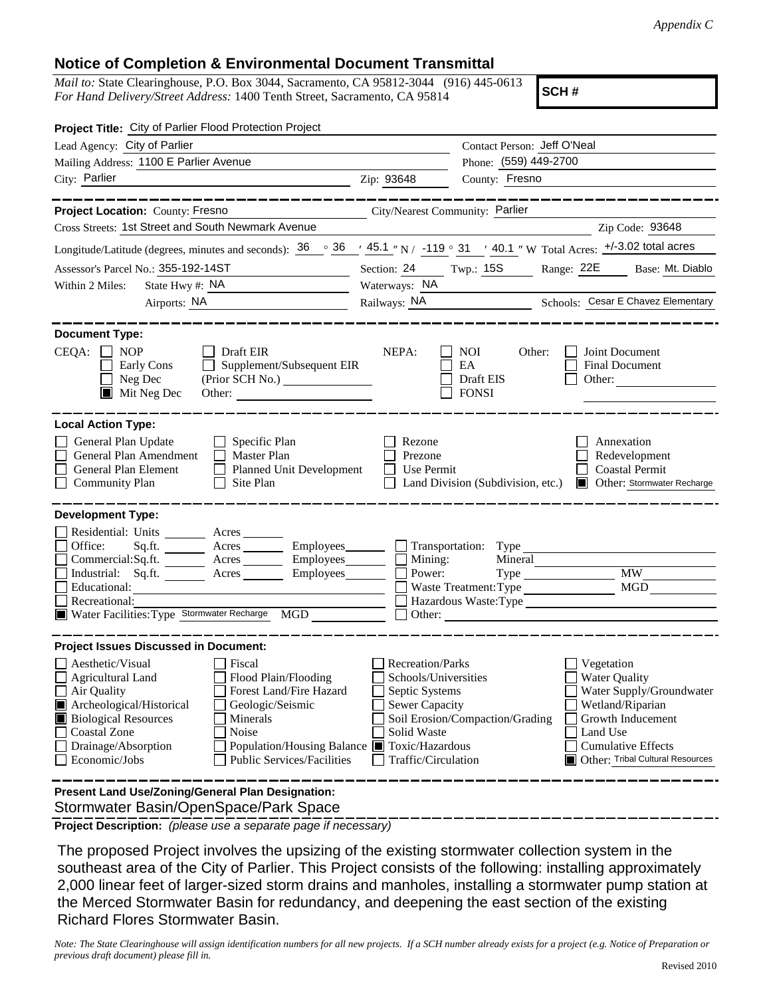## **Notice of Completion & Environmental Document Transmittal**

*Mail to:* State Clearinghouse, P.O. Box 3044, Sacramento, CA 95812-3044 (916) 445-0613 *For Hand Delivery/Street Address:* 1400 Tenth Street, Sacramento, CA 95814

**SCH #**

| Project Title: City of Parlier Flood Protection Project                                                                                                                                                                                                                                                                                                                          |                                                                                                                    |                                                         |                                                                                                                                                                                      |  |
|----------------------------------------------------------------------------------------------------------------------------------------------------------------------------------------------------------------------------------------------------------------------------------------------------------------------------------------------------------------------------------|--------------------------------------------------------------------------------------------------------------------|---------------------------------------------------------|--------------------------------------------------------------------------------------------------------------------------------------------------------------------------------------|--|
| Lead Agency: City of Parlier                                                                                                                                                                                                                                                                                                                                                     |                                                                                                                    | Contact Person: Jeff O'Neal                             |                                                                                                                                                                                      |  |
| Mailing Address: 1100 E Parlier Avenue                                                                                                                                                                                                                                                                                                                                           |                                                                                                                    | Phone: (559) 449-2700                                   |                                                                                                                                                                                      |  |
| City: Parlier                                                                                                                                                                                                                                                                                                                                                                    | Zip: 93648                                                                                                         | County: Fresno                                          |                                                                                                                                                                                      |  |
|                                                                                                                                                                                                                                                                                                                                                                                  |                                                                                                                    |                                                         |                                                                                                                                                                                      |  |
| Project Location: County: Fresno                                                                                                                                                                                                                                                                                                                                                 | City/Nearest Community: Parlier                                                                                    |                                                         |                                                                                                                                                                                      |  |
| Cross Streets: 1st Street and South Newmark Avenue                                                                                                                                                                                                                                                                                                                               |                                                                                                                    |                                                         | Zip Code: 93648                                                                                                                                                                      |  |
| Longitude/Latitude (degrees, minutes and seconds): $36 \degree$ $36 \degree$ $45.1 \degree$ N / -119 ° 31 $\degree$ 40.1 " W Total Acres: $\frac{+/-3.02 \text{ total acres}}{+/-3.02 \text{ total acres}}$                                                                                                                                                                      |                                                                                                                    |                                                         |                                                                                                                                                                                      |  |
| Assessor's Parcel No.: 355-192-14ST                                                                                                                                                                                                                                                                                                                                              | Section: 24 Twp.: 15S Range: 22E Base: Mt. Diablo                                                                  |                                                         |                                                                                                                                                                                      |  |
| State Hwy #: NA<br>Within 2 Miles:<br><u> 1989 - Johann Barbara, martxa a</u>                                                                                                                                                                                                                                                                                                    | Waterways: NA                                                                                                      |                                                         |                                                                                                                                                                                      |  |
| Airports: NA<br><u> 1989 - Johann Barbara, martin a</u>                                                                                                                                                                                                                                                                                                                          |                                                                                                                    |                                                         | Railways: NA Schools: Cesar E Chavez Elementary                                                                                                                                      |  |
| <b>Document Type:</b><br>$CEQA: \Box NOP$<br>$\Box$ Draft EIR<br>Supplement/Subsequent EIR<br>Early Cons<br>Neg Dec<br>Mit Neg Dec                                                                                                                                                                                                                                               | NEPA:                                                                                                              | <b>NOI</b><br>Other:<br>EA<br>Draft EIS<br><b>FONSI</b> | Joint Document<br><b>Final Document</b><br>Other:                                                                                                                                    |  |
| <b>Local Action Type:</b><br>General Plan Update<br>$\Box$ Specific Plan<br>$\Box$ Master Plan<br>General Plan Amendment<br>General Plan Element<br>Planned Unit Development<br><b>Community Plan</b><br>Site Plan<br>$\Box$                                                                                                                                                     | Rezone<br>Prezone<br>Use Permit                                                                                    | Land Division (Subdivision, etc.)                       | Annexation<br>Redevelopment<br><b>Coastal Permit</b><br><b>Other: Stormwater Recharge</b>                                                                                            |  |
| <b>Development Type:</b>                                                                                                                                                                                                                                                                                                                                                         |                                                                                                                    |                                                         |                                                                                                                                                                                      |  |
| Residential: Units _________ Acres _______<br>Office:<br>Sq.ft. _________ Acres __________ Employees ________ ___ Transportation: Type _____________<br>Commercial:Sq.ft. ________ Acres _________ Employees________ $\Box$<br>Industrial: Sq.ft. _______ Acres ______<br>Employees_________<br>Educational:<br>Recreational:<br>Water Facilities: Type Stormwater Recharge MGD  | Mining:<br>Power:                                                                                                  | Mineral<br>Waste Treatment: Type                        | <b>MW</b><br><b>MGD</b><br>Hazardous Waste:Type                                                                                                                                      |  |
| <b>Project Issues Discussed in Document:</b>                                                                                                                                                                                                                                                                                                                                     |                                                                                                                    |                                                         |                                                                                                                                                                                      |  |
| Aesthetic/Visual<br>Fiscal<br><b>Agricultural Land</b><br>Flood Plain/Flooding<br>Air Quality<br>Forest Land/Fire Hazard<br>Archeological/Historical<br>Geologic/Seismic<br><b>Biological Resources</b><br>Minerals<br><b>Coastal Zone</b><br>Noise<br>Drainage/Absorption<br>Population/Housing Balance ■ Toxic/Hazardous<br><b>Public Services/Facilities</b><br>Economic/Jobs | Recreation/Parks<br>Schools/Universities<br>Septic Systems<br>Sewer Capacity<br>Solid Waste<br>Traffic/Circulation | Soil Erosion/Compaction/Grading                         | Vegetation<br><b>Water Quality</b><br>Water Supply/Groundwater<br>Wetland/Riparian<br>Growth Inducement<br>Land Use<br><b>Cumulative Effects</b><br>Other: Tribal Cultural Resources |  |
| Present Land Use/Zoning/General Plan Designation:                                                                                                                                                                                                                                                                                                                                |                                                                                                                    |                                                         |                                                                                                                                                                                      |  |

Stormwater Basin/OpenSpace/Park Space

**Project Description:** *(please use a separate page if necessary)*

 The proposed Project involves the upsizing of the existing stormwater collection system in the southeast area of the City of Parlier. This Project consists of the following: installing approximately 2,000 linear feet of larger-sized storm drains and manholes, installing a stormwater pump station at the Merced Stormwater Basin for redundancy, and deepening the east section of the existing Richard Flores Stormwater Basin.

*Note: The State Clearinghouse will assign identification numbers for all new projects. If a SCH number already exists for a project (e.g. Notice of Preparation or previous draft document) please fill in.*